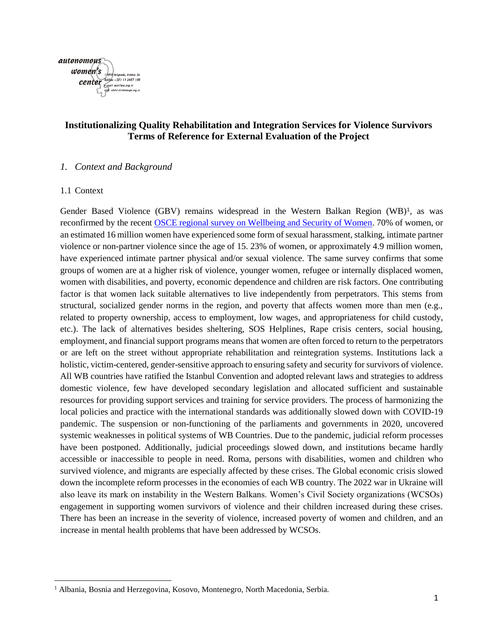

# **Institutionalizing Quality Rehabilitation and Integration Services for Violence Survivors Terms of Reference for External Evaluation of the Project**

#### *1. Context and Background*

#### 1.1 Context

 $\overline{\phantom{a}}$ 

Gender Based Violence (GBV) remains widespread in the Western Balkan Region (WB)<sup>1</sup>, as was reconfirmed by the recent [OSCE regional survey on Wellbeing and Security of Women.](https://www.osce.org/secretariat/413237?download=true) 70% of women, or an estimated 16 million women have experienced some form of sexual harassment, stalking, intimate partner violence or non-partner violence since the age of 15. 23% of women, or approximately 4.9 million women, have experienced intimate partner physical and/or sexual violence. The same survey confirms that some groups of women are at a higher risk of violence, younger women, refugee or internally displaced women, women with disabilities, and poverty, economic dependence and children are risk factors. One contributing factor is that women lack suitable alternatives to live independently from perpetrators. This stems from structural, socialized gender norms in the region, and poverty that affects women more than men (e.g., related to property ownership, access to employment, low wages, and appropriateness for child custody, etc.). The lack of alternatives besides sheltering, SOS Helplines, Rape crisis centers, social housing, employment, and financial support programs means that women are often forced to return to the perpetrators or are left on the street without appropriate rehabilitation and reintegration systems. Institutions lack a holistic, victim-centered, gender-sensitive approach to ensuring safety and security for survivors of violence. All WB countries have ratified the Istanbul Convention and adopted relevant laws and strategies to address domestic violence, few have developed secondary legislation and allocated sufficient and sustainable resources for providing support services and training for service providers. The process of harmonizing the local policies and practice with the international standards was additionally slowed down with COVID-19 pandemic. The suspension or non-functioning of the parliaments and governments in 2020, uncovered systemic weaknesses in political systems of WB Countries. Due to the pandemic, judicial reform processes have been postponed. Additionally, judicial proceedings slowed down, and institutions became hardly accessible or inaccessible to people in need. Roma, persons with disabilities, women and children who survived violence, and migrants are especially affected by these crises. The Global economic crisis slowed down the incomplete reform processes in the economies of each WB country. The 2022 war in Ukraine will also leave its mark on instability in the Western Balkans. Women's Civil Society organizations (WCSOs) engagement in supporting women survivors of violence and their children increased during these crises. There has been an increase in the severity of violence, increased poverty of women and children, and an increase in mental health problems that have been addressed by WCSOs.

<sup>&</sup>lt;sup>1</sup> Albania, Bosnia and Herzegovina, Kosovo, Montenegro, North Macedonia, Serbia.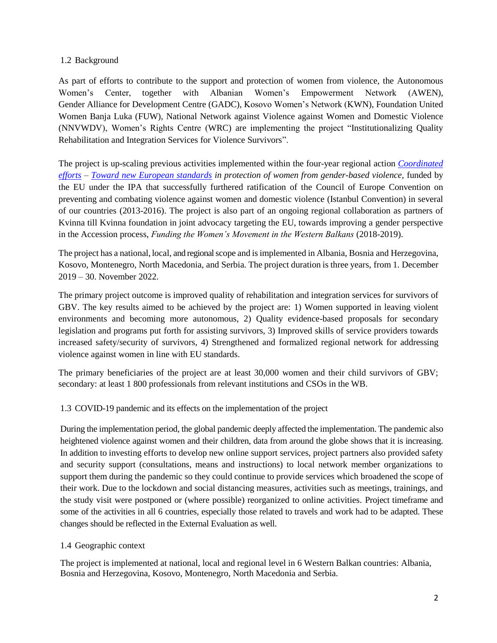# 1.2 Background

As part of efforts to contribute to the support and protection of women from violence, the Autonomous Women's Center, together with Albanian Women's Empowerment Network (AWEN), Gender Alliance for Development Centre (GADC), Kosovo Women's Network (KWN), Foundation United Women Banja Luka (FUW), National Network against Violence against Women and Domestic Violence (NNVWDV), Women's Rights Centre (WRC) are implementing the project "Institutionalizing Quality Rehabilitation and Integration Services for Violence Survivors".

The project is up-scaling previous activities implemented within the four-year regional action *[Coordinated](https://www.womenngo.org.rs/en/about-us/completed-projects/555-2015-2016-coordinated-efforts-toward-new-european-standards-in-protection-of-women-from-gender-based-violence-ii-phase-of-the-project-implementation)  [efforts](https://www.womenngo.org.rs/en/about-us/completed-projects/555-2015-2016-coordinated-efforts-toward-new-european-standards-in-protection-of-women-from-gender-based-violence-ii-phase-of-the-project-implementation) – [Toward new European standards](https://www.womenngo.org.rs/en/about-us/completed-projects/556-2013-2014-coordinated-efforts-towards-new-european-standards-in-the-protection-of-women-from-gender-based-violence-i-phase-of-the-project-implementation) in protection of women from gender-based violence,* funded by the EU under the IPA that successfully furthered ratification of the Council of Europe Convention on preventing and combating violence against women and domestic violence (Istanbul Convention) in several of our countries (2013-2016). The project is also part of an ongoing regional collaboration as partners of Kvinna till Kvinna foundation in joint advocacy targeting the EU, towards improving a gender perspective in the Accession process, *Funding the Women's Movement in the Western Balkans* (2018-2019).

The project has a national, local, and regional scope and isimplemented in Albania, Bosnia and Herzegovina, Kosovo, Montenegro, North Macedonia, and Serbia. The project duration is three years, from 1. December 2019 – 30. November 2022.

The primary project outcome is improved quality of rehabilitation and integration services for survivors of GBV. The key results aimed to be achieved by the project are: 1) Women supported in leaving violent environments and becoming more autonomous, 2) Quality evidence-based proposals for secondary legislation and programs put forth for assisting survivors, 3) Improved skills of service providers towards increased safety/security of survivors, 4) Strengthened and formalized regional network for addressing violence against women in line with EU standards.

The primary beneficiaries of the project are at least 30,000 women and their child survivors of GBV; secondary: at least 1 800 professionals from relevant institutions and CSOs in the WB.

# 1.3 COVID-19 pandemic and its effects on the implementation of the project

During the implementation period, the global pandemic deeply affected the implementation. The pandemic also heightened violence against women and their children, data from around the globe shows that it is increasing. In addition to investing efforts to develop new online support services, project partners also provided safety and security support (consultations, means and instructions) to local network member organizations to support them during the pandemic so they could continue to provide services which broadened the scope of their work. Due to the lockdown and social distancing measures, activities such as meetings, trainings, and the study visit were postponed or (where possible) reorganized to online activities. Project timeframe and some of the activities in all 6 countries, especially those related to travels and work had to be adapted. These changes should be reflected in the External Evaluation as well.

# 1.4 Geographic context

The project is implemented at national, local and regional level in 6 Western Balkan countries: Albania, Bosnia and Herzegovina, Kosovo, Montenegro, North Macedonia and Serbia.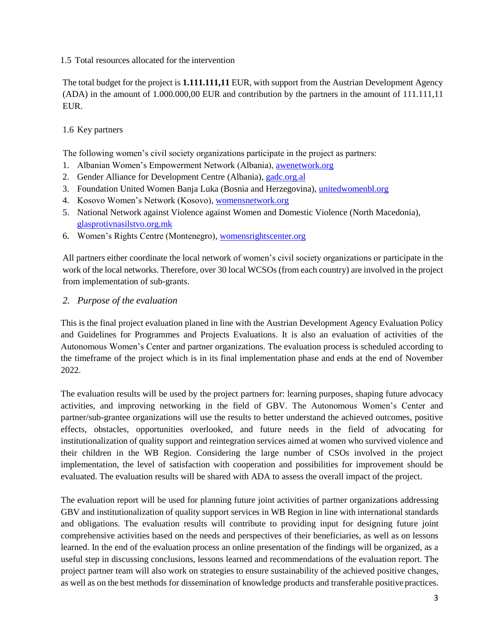#### 1.5 Total resources allocated for the intervention

The total budget for the project is **1.111.111,11** EUR, with support from the Austrian Development Agency (ADA) in the amount of 1.000.000,00 EUR and contribution by the partners in the amount of 111.111,11 EUR.

# 1.6 Key partners

The following women's civil society organizations participate in the project as partners:

- 1. Albanian Women's Empowerment Network (Albania), [awenetwork.org](https://awenetwork.org/)
- 2. Gender Alliance for Development Centre (Albania), [gadc.org.al](https://www.gadc.org.al/)
- 3. Foundation United Women Banja Luka (Bosnia and Herzegovina), [unitedwomenbl.org](https://unitedwomenbl.org/)
- 4. Kosovo Women's Network (Kosovo), [womensnetwork.org](https://womensnetwork.org/)
- 5. National Network against Violence against Women and Domestic Violence (North Macedonia), [glasprotivnasilstvo.org.mk](https://glasprotivnasilstvo.org.mk/)
- 6. Women's Rights Centre (Montenegro)[, womensrightscenter.org](https://womensrightscenter.org/)

All partners either coordinate the local network of women's civil society organizations or participate in the work of the local networks. Therefore, over 30 local WCSOs (from each country) are involved in the project from implementation of sub-grants.

#### *2. Purpose of the evaluation*

This is the final project evaluation planed in line with the Austrian Development Agency Evaluation Policy and Guidelines for Programmes and Projects Evaluations. It is also an evaluation of activities of the Autonomous Women's Center and partner organizations. The evaluation process is scheduled according to the timeframe of the project which is in its final implementation phase and ends at the end of November 2022.

The evaluation results will be used by the project partners for: learning purposes, shaping future advocacy activities, and improving networking in the field of GBV. The Autonomous Women's Center and partner/sub-grantee organizations will use the results to better understand the achieved outcomes, positive effects, obstacles, opportunities overlooked, and future needs in the field of advocating for institutionalization of quality support and reintegration services aimed at women who survived violence and their children in the WB Region. Considering the large number of CSOs involved in the project implementation, the level of satisfaction with cooperation and possibilities for improvement should be evaluated. The evaluation results will be shared with ADA to assess the overall impact of the project.

The evaluation report will be used for planning future joint activities of partner organizations addressing GBV and institutionalization of quality support services in WB Region in line with international standards and obligations. The evaluation results will contribute to providing input for designing future joint comprehensive activities based on the needs and perspectives of their beneficiaries, as well as on lessons learned. In the end of the evaluation process an online presentation of the findings will be organized, as a useful step in discussing conclusions, lessons learned and recommendations of the evaluation report. The project partner team will also work on strategies to ensure sustainability of the achieved positive changes, as well as on the best methods for dissemination of knowledge products and transferable positive practices.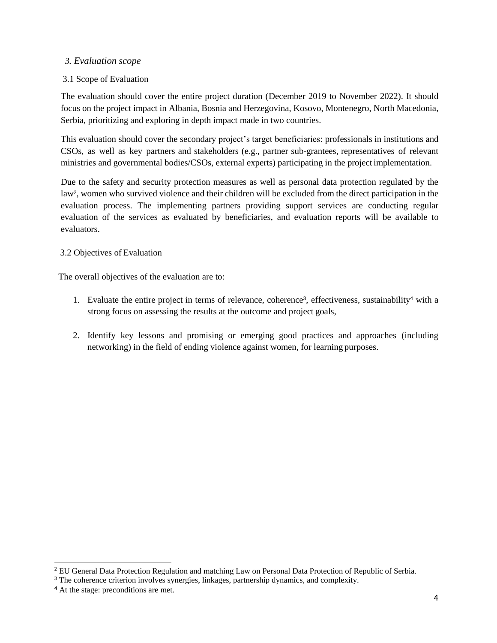# *3. Evaluation scope*

# 3.1 Scope of Evaluation

The evaluation should cover the entire project duration (December 2019 to November 2022). It should focus on the project impact in Albania, Bosnia and Herzegovina, Kosovo, Montenegro, North Macedonia, Serbia, prioritizing and exploring in depth impact made in two countries.

This evaluation should cover the secondary project's target beneficiaries: professionals in institutions and CSOs, as well as key partners and stakeholders (e.g., partner sub-grantees, representatives of relevant ministries and governmental bodies/CSOs, external experts) participating in the project implementation.

Due to the safety and security protection measures as well as personal data protection regulated by the law<sup>2</sup> , women who survived violence and their children will be excluded from the direct participation in the evaluation process. The implementing partners providing support services are conducting regular evaluation of the services as evaluated by beneficiaries, and evaluation reports will be available to evaluators.

# 3.2 Objectives of Evaluation

The overall objectives of the evaluation are to:

- 1. Evaluate the entire project in terms of relevance, coherence<sup>3</sup>, effectiveness, sustainability<sup>4</sup> with a strong focus on assessing the results at the outcome and project goals,
- 2. Identify key lessons and promising or emerging good practices and approaches (including networking) in the field of ending violence against women, for learning purposes.

l

<sup>&</sup>lt;sup>2</sup> EU General Data Protection Regulation and matching Law on Personal Data Protection of Republic of Serbia.

<sup>&</sup>lt;sup>3</sup> The coherence criterion involves synergies, linkages, partnership dynamics, and complexity.

<sup>4</sup> At the stage: preconditions are met.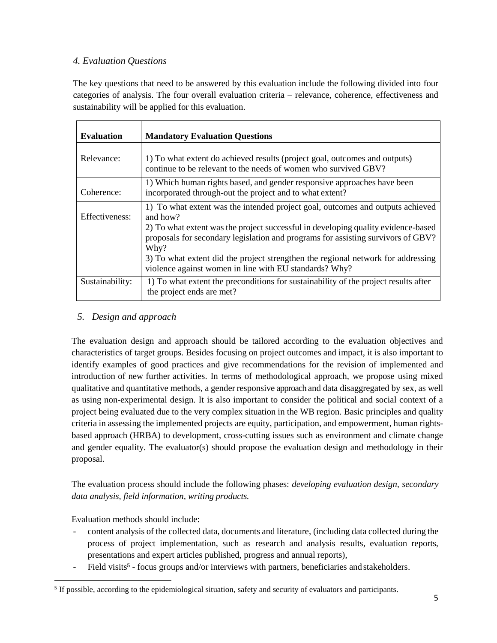# *4. Evaluation Questions*

The key questions that need to be answered by this evaluation include the following divided into four categories of analysis. The four overall evaluation criteria – relevance, coherence, effectiveness and sustainability will be applied for this evaluation.

| <b>Evaluation</b> | <b>Mandatory Evaluation Questions</b>                                                                                                                                                                                                                                                                                                                                                                                     |
|-------------------|---------------------------------------------------------------------------------------------------------------------------------------------------------------------------------------------------------------------------------------------------------------------------------------------------------------------------------------------------------------------------------------------------------------------------|
| Relevance:        | 1) To what extent do achieved results (project goal, outcomes and outputs)<br>continue to be relevant to the needs of women who survived GBV?                                                                                                                                                                                                                                                                             |
| Coherence:        | 1) Which human rights based, and gender responsive approaches have been<br>incorporated through-out the project and to what extent?                                                                                                                                                                                                                                                                                       |
| Effectiveness:    | 1) To what extent was the intended project goal, outcomes and outputs achieved<br>and how?<br>2) To what extent was the project successful in developing quality evidence-based<br>proposals for secondary legislation and programs for assisting survivors of GBV?<br>Why?<br>3) To what extent did the project strengthen the regional network for addressing<br>violence against women in line with EU standards? Why? |
| Sustainability:   | 1) To what extent the preconditions for sustainability of the project results after<br>the project ends are met?                                                                                                                                                                                                                                                                                                          |

# *5. Design and approach*

The evaluation design and approach should be tailored according to the evaluation objectives and characteristics of target groups. Besides focusing on project outcomes and impact, it is also important to identify examples of good practices and give recommendations for the revision of implemented and introduction of new further activities. In terms of methodological approach, we propose using mixed qualitative and quantitative methods, a gender responsive approach and data disaggregated by sex, as well as using non-experimental design. It is also important to consider the political and social context of a project being evaluated due to the very complex situation in the WB region. Basic principles and quality criteria in assessing the implemented projects are equity, participation, and empowerment, human rightsbased approach (HRBA) to development, cross-cutting issues such as environment and climate change and gender equality. The evaluator(s) should propose the evaluation design and methodology in their proposal.

The evaluation process should include the following phases: *developing evaluation design, secondary data analysis, field information, writing products.*

Evaluation methods should include:

- content analysis of the collected data, documents and literature, (including data collected during the process of project implementation, such as research and analysis results, evaluation reports, presentations and expert articles published, progress and annual reports),
- Field visits<sup>5</sup> focus groups and/or interviews with partners, beneficiaries and stakeholders.

 $\overline{\phantom{a}}$ <sup>5</sup> If possible, according to the epidemiological situation, safety and security of evaluators and participants.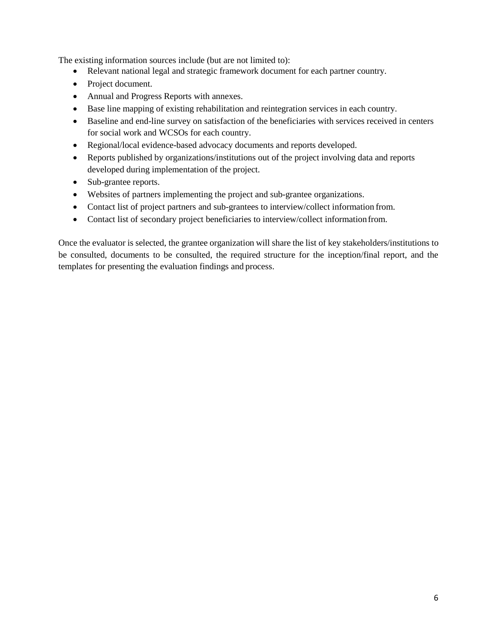The existing information sources include (but are not limited to):

- Relevant national legal and strategic framework document for each partner country.
- Project document.
- Annual and Progress Reports with annexes.
- Base line mapping of existing rehabilitation and reintegration services in each country.
- Baseline and end-line survey on satisfaction of the beneficiaries with services received in centers for social work and WCSOs for each country.
- Regional/local evidence-based advocacy documents and reports developed.
- Reports published by organizations/institutions out of the project involving data and reports developed during implementation of the project.
- Sub-grantee reports.
- Websites of partners implementing the project and sub-grantee organizations.
- Contact list of project partners and sub-grantees to interview/collect information from.
- Contact list of secondary project beneficiaries to interview/collect informationfrom.

Once the evaluator is selected, the grantee organization will share the list of key stakeholders/institutions to be consulted, documents to be consulted, the required structure for the inception/final report, and the templates for presenting the evaluation findings and process.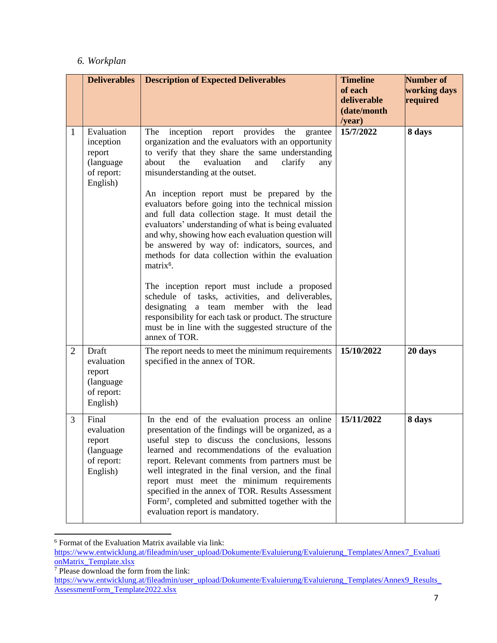# *6. Workplan*

|   | <b>Deliverables</b>                                                                    | <b>Description of Expected Deliverables</b>                                                                                                                                                                                                                                                                                                                                                                                                                                                                                                                                                                                                                                                                                                                                                                                                                                                                                                              | <b>Timeline</b><br>of each<br>deliverable<br>(date/month<br>/year) | <b>Number of</b><br>working days<br>required |
|---|----------------------------------------------------------------------------------------|----------------------------------------------------------------------------------------------------------------------------------------------------------------------------------------------------------------------------------------------------------------------------------------------------------------------------------------------------------------------------------------------------------------------------------------------------------------------------------------------------------------------------------------------------------------------------------------------------------------------------------------------------------------------------------------------------------------------------------------------------------------------------------------------------------------------------------------------------------------------------------------------------------------------------------------------------------|--------------------------------------------------------------------|----------------------------------------------|
|   | Evaluation<br>1<br>inception<br>report<br>(language<br>of report:<br>English)          | inception<br>provides<br>The<br>the<br>report<br>grantee<br>organization and the evaluators with an opportunity<br>to verify that they share the same understanding<br>the<br>about<br>evaluation<br>clarify<br>and<br>any<br>misunderstanding at the outset.<br>An inception report must be prepared by the<br>evaluators before going into the technical mission<br>and full data collection stage. It must detail the<br>evaluators' understanding of what is being evaluated<br>and why, showing how each evaluation question will<br>be answered by way of: indicators, sources, and<br>methods for data collection within the evaluation<br>matrix <sup>6</sup> .<br>The inception report must include a proposed<br>schedule of tasks, activities, and deliverables,<br>designating a team member with the lead<br>responsibility for each task or product. The structure<br>must be in line with the suggested structure of the<br>annex of TOR. | 15/7/2022                                                          | 8 days                                       |
|   | Draft<br>$\overline{2}$<br>evaluation<br>report<br>(language<br>of report:<br>English) | The report needs to meet the minimum requirements<br>specified in the annex of TOR.                                                                                                                                                                                                                                                                                                                                                                                                                                                                                                                                                                                                                                                                                                                                                                                                                                                                      | 15/10/2022                                                         | 20 days                                      |
| 3 | Final<br>evaluation<br>report<br>(language)<br>of report:<br>English)                  | In the end of the evaluation process an online<br>presentation of the findings will be organized, as a<br>useful step to discuss the conclusions, lessons<br>learned and recommendations of the evaluation<br>report. Relevant comments from partners must be<br>well integrated in the final version, and the final<br>report must meet the minimum requirements<br>specified in the annex of TOR. Results Assessment<br>Form <sup>7</sup> , completed and submitted together with the<br>evaluation report is mandatory.                                                                                                                                                                                                                                                                                                                                                                                                                               | 15/11/2022                                                         | 8 days                                       |

l <sup>6</sup> Format of the Evaluation Matrix available via link:

[https://www.entwicklung.at/fileadmin/user\\_upload/Dokumente/Evaluierung/Evaluierung\\_Templates/Annex7\\_Evaluati](https://www.entwicklung.at/fileadmin/user_upload/Dokumente/Evaluierung/Evaluierung_Templates/Annex7_EvaluationMatrix_Template.xlsx) [onMatrix\\_Template.xlsx](https://www.entwicklung.at/fileadmin/user_upload/Dokumente/Evaluierung/Evaluierung_Templates/Annex7_EvaluationMatrix_Template.xlsx)

<sup>7</sup> Please download the form from the link:

[https://www.entwicklung.at/fileadmin/user\\_upload/Dokumente/Evaluierung/Evaluierung\\_Templates/Annex9\\_Results\\_](https://www.entwicklung.at/fileadmin/user_upload/Dokumente/Evaluierung/Evaluierung_Templates/Annex9_Results_AssessmentForm_Template2022.xlsx) [AssessmentForm\\_Template2022.xlsx](https://www.entwicklung.at/fileadmin/user_upload/Dokumente/Evaluierung/Evaluierung_Templates/Annex9_Results_AssessmentForm_Template2022.xlsx)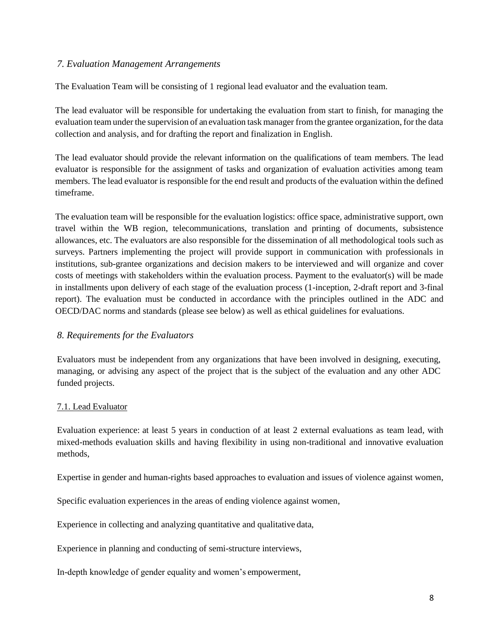### *7. Evaluation Management Arrangements*

The Evaluation Team will be consisting of 1 regional lead evaluator and the evaluation team.

The lead evaluator will be responsible for undertaking the evaluation from start to finish, for managing the evaluation team under the supervision of an evaluation task manager from the grantee organization, for the data collection and analysis, and for drafting the report and finalization in English.

The lead evaluator should provide the relevant information on the qualifications of team members. The lead evaluator is responsible for the assignment of tasks and organization of evaluation activities among team members. The lead evaluator is responsible for the end result and products of the evaluation within the defined timeframe.

The evaluation team will be responsible for the evaluation logistics: office space, administrative support, own travel within the WB region, telecommunications, translation and printing of documents, subsistence allowances, etc. The evaluators are also responsible for the dissemination of all methodological tools such as surveys. Partners implementing the project will provide support in communication with professionals in institutions, sub-grantee organizations and decision makers to be interviewed and will organize and cover costs of meetings with stakeholders within the evaluation process. Payment to the evaluator(s) will be made in installments upon delivery of each stage of the evaluation process (1-inception, 2-draft report and 3-final report). The evaluation must be conducted in accordance with the principles outlined in the ADC and OECD/DAC norms and standards (please see below) as well as ethical guidelines for evaluations.

# *8. Requirements for the Evaluators*

Evaluators must be independent from any organizations that have been involved in designing, executing, managing, or advising any aspect of the project that is the subject of the evaluation and any other ADC funded projects.

#### 7.1. Lead Evaluator

Evaluation experience: at least 5 years in conduction of at least 2 external evaluations as team lead, with mixed-methods evaluation skills and having flexibility in using non-traditional and innovative evaluation methods,

Expertise in gender and human-rights based approaches to evaluation and issues of violence against women,

Specific evaluation experiences in the areas of ending violence against women,

Experience in collecting and analyzing quantitative and qualitative data,

Experience in planning and conducting of semi-structure interviews,

In-depth knowledge of gender equality and women's empowerment,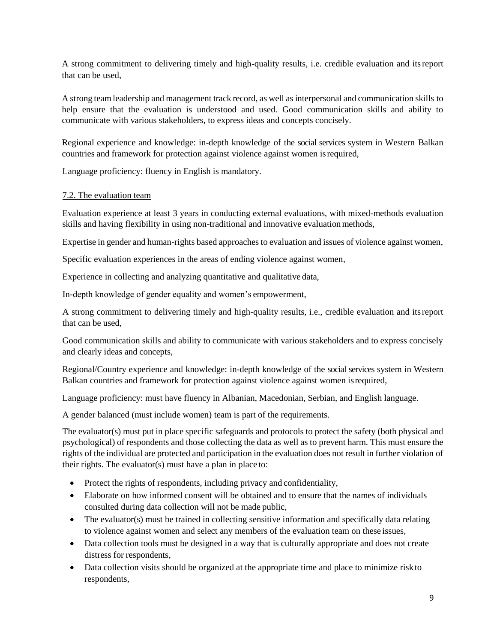A strong commitment to delivering timely and high-quality results, i.e. credible evaluation and itsreport that can be used,

A strong team leadership and management track record, as well as interpersonal and communication skills to help ensure that the evaluation is understood and used. Good communication skills and ability to communicate with various stakeholders, to express ideas and concepts concisely.

Regional experience and knowledge: in-depth knowledge of the social services system in Western Balkan countries and framework for protection against violence against women isrequired,

Language proficiency: fluency in English is mandatory.

#### 7.2. The evaluation team

Evaluation experience at least 3 years in conducting external evaluations, with mixed-methods evaluation skills and having flexibility in using non-traditional and innovative evaluationmethods,

Expertise in gender and human-rights based approaches to evaluation and issues of violence against women,

Specific evaluation experiences in the areas of ending violence against women,

Experience in collecting and analyzing quantitative and qualitative data,

In-depth knowledge of gender equality and women's empowerment,

A strong commitment to delivering timely and high-quality results, i.e., credible evaluation and itsreport that can be used,

Good communication skills and ability to communicate with various stakeholders and to express concisely and clearly ideas and concepts,

Regional/Country experience and knowledge: in-depth knowledge of the social services system in Western Balkan countries and framework for protection against violence against women isrequired,

Language proficiency: must have fluency in Albanian, Macedonian, Serbian, and English language.

A gender balanced (must include women) team is part of the requirements.

The evaluator(s) must put in place specific safeguards and protocols to protect the safety (both physical and psychological) of respondents and those collecting the data as well as to prevent harm. This must ensure the rights of the individual are protected and participation in the evaluation does not result in further violation of their rights. The evaluator(s) must have a plan in place to:

- Protect the rights of respondents, including privacy and confidentiality,
- Elaborate on how informed consent will be obtained and to ensure that the names of individuals consulted during data collection will not be made public,
- The evaluator(s) must be trained in collecting sensitive information and specifically data relating to violence against women and select any members of the evaluation team on these issues,
- Data collection tools must be designed in a way that is culturally appropriate and does not create distress for respondents,
- Data collection visits should be organized at the appropriate time and place to minimize risk to respondents,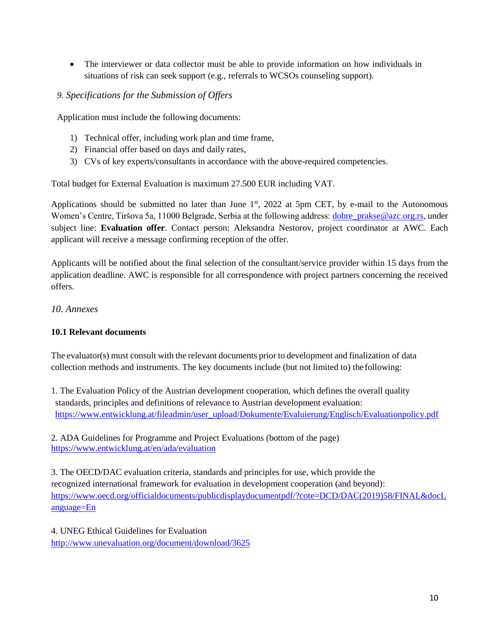• The interviewer or data collector must be able to provide information on how individuals in situations of risk can seek support (e.g., referrals to WCSOs counseling support).

# *9. Specifications for the Submission of Offers*

Application must include the following documents:

- 1) Technical offer, including work plan and time frame,
- 2) Financial offer based on days and daily rates,
- 3) CVs of key experts/consultants in accordance with the above-required competencies.

Total budget for External Evaluation is maximum 27.500 EUR including VAT.

Applications should be submitted no later than June  $1<sup>st</sup>$ , 2022 at 5pm CET, by e-mail to the Autonomous Women's Centre, Tiršova 5a, 11000 Belgrade, Serbia at the following address[: dobre\\_prakse@azc.org.rs,](mailto:dobre_prakse@azc.org.rs) under subject line: **Evaluation offer**. Contact person: Aleksandra Nestorov, project coordinator at AWC. Each applicant will receive a message confirming reception of the offer.

Applicants will be notified about the final selection of the consultant/service provider within 15 days from the application deadline. AWC is responsible for all correspondence with project partners concerning the received offers.

# *10. Annexes*

# **10.1 Relevant documents**

The evaluator(s) must consult with the relevant documents prior to development and finalization of data collection methods and instruments. The key documents include (but not limited to) the following:

1. The Evaluation Policy of the Austrian development cooperation, which defines the overall quality standards, principles and definitions of relevance to Austrian development evaluation: [https://www.entwicklung.at/fileadmin/user\\_upload/Dokumente/Evaluierung/Englisch/Evaluationpolicy.pdf](https://www.entwicklung.at/fileadmin/user_upload/Dokumente/Evaluierung/Englisch/Evaluationpolicy.pdf)

2. ADA Guidelines for Programme and Project Evaluations (bottom of the page) <https://www.entwicklung.at/en/ada/evaluation>

3. The OECD/DAC evaluation criteria, standards and principles for use, which provide the recognized international framework for evaluation in development cooperation (and beyond): [https://www.oecd.org/officialdocuments/publicdisplaydocumentpdf/?cote=DCD/DAC\(2019\)58/FINAL&docL](https://www.oecd.org/officialdocuments/publicdisplaydocumentpdf/?cote=DCD/DAC(2019)58/FINAL&docLanguage=En) [anguage=En](https://www.oecd.org/officialdocuments/publicdisplaydocumentpdf/?cote=DCD/DAC(2019)58/FINAL&docLanguage=En)

4. UNEG Ethical Guidelines for Evaluation <http://www.unevaluation.org/document/download/3625>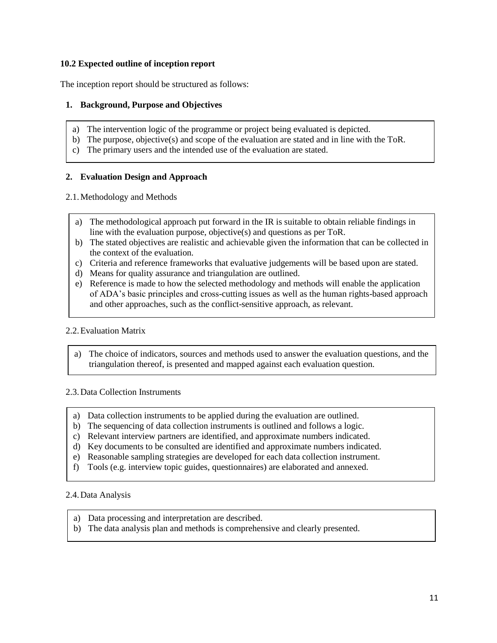### **10.2 Expected outline of inception report**

The inception report should be structured as follows:

# **1. Background, Purpose and Objectives**

- a) The intervention logic of the programme or project being evaluated is depicted.
- b) The purpose, objective(s) and scope of the evaluation are stated and in line with the ToR.
- c) The primary users and the intended use of the evaluation are stated.

# **2. Evaluation Design and Approach**

2.1.Methodology and Methods

- a) The methodological approach put forward in the IR is suitable to obtain reliable findings in line with the evaluation purpose, objective(s) and questions as per ToR.
- b) The stated objectives are realistic and achievable given the information that can be collected in the context of the evaluation.
- c) Criteria and reference frameworks that evaluative judgements will be based upon are stated.
- d) Means for quality assurance and triangulation are outlined.
- e) Reference is made to how the selected methodology and methods will enable the application of ADA's basic principles and cross-cutting issues as well as the human rights-based approach and other approaches, such as the conflict-sensitive approach, as relevant.

# 2.2.Evaluation Matrix

a) The choice of indicators, sources and methods used to answer the evaluation questions, and the triangulation thereof, is presented and mapped against each evaluation question.

#### 2.3.Data Collection Instruments

- a) Data collection instruments to be applied during the evaluation are outlined.
- b) The sequencing of data collection instruments is outlined and follows a logic.
- c) Relevant interview partners are identified, and approximate numbers indicated.
- d) Key documents to be consulted are identified and approximate numbers indicated.
- e) Reasonable sampling strategies are developed for each data collection instrument.
- f) Tools (e.g. interview topic guides, questionnaires) are elaborated and annexed.

#### 2.4.Data Analysis

- a) Data processing and interpretation are described.
- b) The data analysis plan and methods is comprehensive and clearly presented.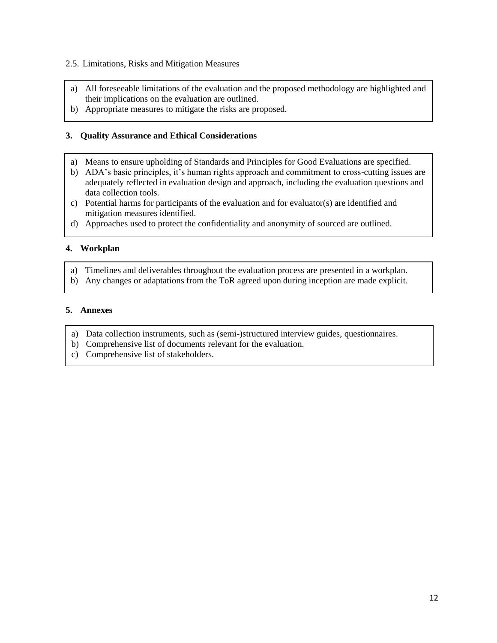#### 2.5. Limitations, Risks and Mitigation Measures

- a) All foreseeable limitations of the evaluation and the proposed methodology are highlighted and their implications on the evaluation are outlined.
- b) Appropriate measures to mitigate the risks are proposed.

#### **3. Quality Assurance and Ethical Considerations**

- a) Means to ensure upholding of Standards and Principles for Good Evaluations are specified.
- b) ADA's basic principles, it's human rights approach and commitment to cross-cutting issues are adequately reflected in evaluation design and approach, including the evaluation questions and data collection tools.
- c) Potential harms for participants of the evaluation and for evaluator(s) are identified and mitigation measures identified.
- d) Approaches used to protect the confidentiality and anonymity of sourced are outlined.

#### **4. Workplan**

- a) Timelines and deliverables throughout the evaluation process are presented in a workplan.
- b) Any changes or adaptations from the ToR agreed upon during inception are made explicit.

#### **5. Annexes**

- a) Data collection instruments, such as (semi-)structured interview guides, questionnaires.
- b) Comprehensive list of documents relevant for the evaluation.
- c) Comprehensive list of stakeholders.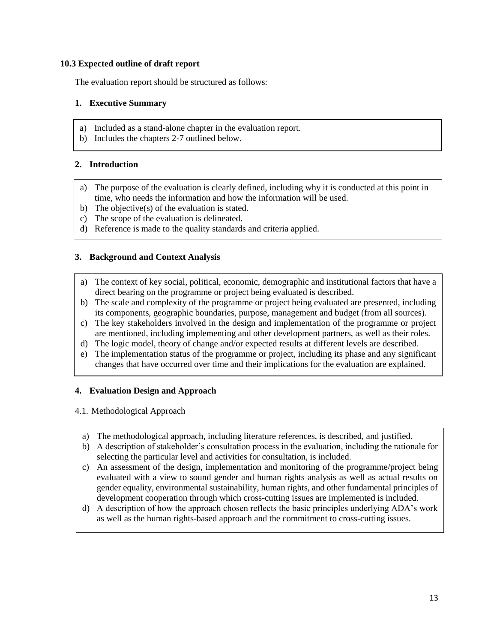#### **10.3 Expected outline of draft report**

The evaluation report should be structured as follows:

# **1. Executive Summary**

- a) Included as a stand-alone chapter in the evaluation report.
- b) Includes the chapters 2-7 outlined below.

### **2. Introduction**

- a) The purpose of the evaluation is clearly defined, including why it is conducted at this point in time, who needs the information and how the information will be used.
- b) The objective(s) of the evaluation is stated.
- c) The scope of the evaluation is delineated.
- d) Reference is made to the quality standards and criteria applied.

#### **3. Background and Context Analysis**

- a) The context of key social, political, economic, demographic and institutional factors that have a direct bearing on the programme or project being evaluated is described.
- b) The scale and complexity of the programme or project being evaluated are presented, including its components, geographic boundaries, purpose, management and budget (from all sources).
- c) The key stakeholders involved in the design and implementation of the programme or project are mentioned, including implementing and other development partners, as well as their roles.
- d) The logic model, theory of change and/or expected results at different levels are described.
- e) The implementation status of the programme or project, including its phase and any significant changes that have occurred over time and their implications for the evaluation are explained.

# **4. Evaluation Design and Approach**

#### 4.1. Methodological Approach

- a) The methodological approach, including literature references, is described, and justified.
- b) A description of stakeholder's consultation process in the evaluation, including the rationale for selecting the particular level and activities for consultation, is included.
- c) An assessment of the design, implementation and monitoring of the programme/project being evaluated with a view to sound gender and human rights analysis as well as actual results on gender equality, environmental sustainability, human rights, and other fundamental principles of development cooperation through which cross-cutting issues are implemented is included.
- d) A description of how the approach chosen reflects the basic principles underlying ADA's work as well as the human rights-based approach and the commitment to cross-cutting issues.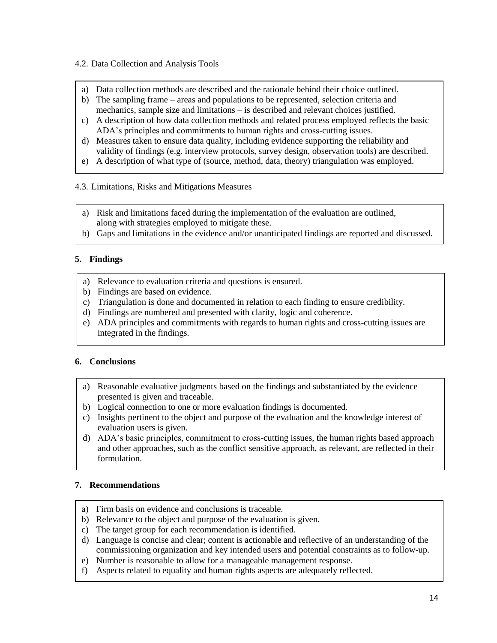#### 4.2. Data Collection and Analysis Tools

- a) Data collection methods are described and the rationale behind their choice outlined.
- b) The sampling frame areas and populations to be represented, selection criteria and mechanics, sample size and limitations – is described and relevant choices justified.
- c) A description of how data collection methods and related process employed reflects the basic ADA's principles and commitments to human rights and cross-cutting issues.
- d) Measures taken to ensure data quality, including evidence supporting the reliability and validity of findings (e.g. interview protocols, survey design, observation tools) are described.
- e) A description of what type of (source, method, data, theory) triangulation was employed.
- 4.3. Limitations, Risks and Mitigations Measures
	- a) Risk and limitations faced during the implementation of the evaluation are outlined, along with strategies employed to mitigate these.
	- b) Gaps and limitations in the evidence and/or unanticipated findings are reported and discussed.

# **5. Findings**

- a) Relevance to evaluation criteria and questions is ensured.
- b) Findings are based on evidence.
- c) Triangulation is done and documented in relation to each finding to ensure credibility.
- d) Findings are numbered and presented with clarity, logic and coherence.
- e) ADA principles and commitments with regards to human rights and cross-cutting issues are integrated in the findings.

# **6. Conclusions**

- a) Reasonable evaluative judgments based on the findings and substantiated by the evidence presented is given and traceable.
- b) Logical connection to one or more evaluation findings is documented.
- c) Insights pertinent to the object and purpose of the evaluation and the knowledge interest of evaluation users is given.
- d) ADA's basic principles, commitment to cross-cutting issues, the human rights based approach and other approaches, such as the conflict sensitive approach, as relevant, are reflected in their formulation.

# **7. Recommendations**

- a) Firm basis on evidence and conclusions is traceable.
- b) Relevance to the object and purpose of the evaluation is given.
- c) The target group for each recommendation is identified.
- d) Language is concise and clear; content is actionable and reflective of an understanding of the commissioning organization and key intended users and potential constraints as to follow-up.
- e) Number is reasonable to allow for a manageable management response.
- f) Aspects related to equality and human rights aspects are adequately reflected.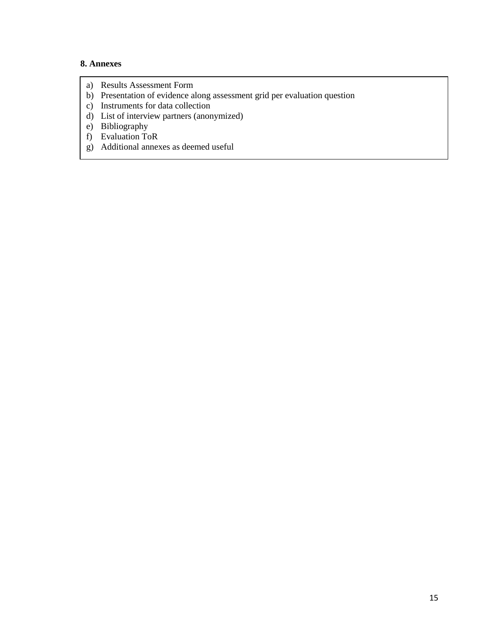### **8. Annexes**

- a) Results Assessment Form
- b) Presentation of evidence along assessment grid per evaluation question
- c) Instruments for data collection
- d) List of interview partners (anonymized)
- e) Bibliography
- f) Evaluation ToR
- g) Additional annexes as deemed useful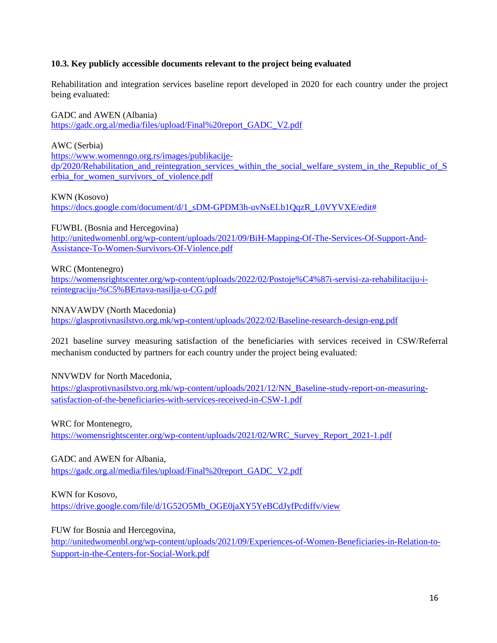### **10.3. Key publicly accessible documents relevant to the project being evaluated**

Rehabilitation and integration services baseline report developed in 2020 for each country under the project being evaluated:

GADC and AWEN (Albania)

[https://gadc.org.al/media/files/upload/Final%20report\\_GADC\\_V2.pdf](https://gadc.org.al/media/files/upload/Final%20report_GADC_V2.pdf)

AWC (Serbia)

[https://www.womenngo.org.rs/images/publikacije](https://www.womenngo.org.rs/images/publikacije-dp/2020/Rehabilitation_and_reintegration_services_within_the_social_welfare_system_in_the_Republic_of_Serbia_for_women_survivors_of_violence.pdf)[dp/2020/Rehabilitation\\_and\\_reintegration\\_services\\_within\\_the\\_social\\_welfare\\_system\\_in\\_the\\_Republic\\_of\\_S](https://www.womenngo.org.rs/images/publikacije-dp/2020/Rehabilitation_and_reintegration_services_within_the_social_welfare_system_in_the_Republic_of_Serbia_for_women_survivors_of_violence.pdf) [erbia\\_for\\_women\\_survivors\\_of\\_violence.pdf](https://www.womenngo.org.rs/images/publikacije-dp/2020/Rehabilitation_and_reintegration_services_within_the_social_welfare_system_in_the_Republic_of_Serbia_for_women_survivors_of_violence.pdf)

KWN (Kosovo)

[https://docs.google.com/document/d/1\\_sDM-GPDM3h-uvNsELb1QqzR\\_L0VYVXE/edit#](https://docs.google.com/document/d/1_sDM-GPDM3h-uvNsELb1QqzR_L0VYVXE/edit) 

FUWBL (Bosnia and Hercegovina)

[http://unitedwomenbl.org/wp-content/uploads/2021/09/BiH-Mapping-Of-The-Services-Of-Support-And-](http://unitedwomenbl.org/wp-content/uploads/2021/09/BiH-Mapping-Of-The-Services-Of-Support-And-Assistance-To-Women-Survivors-Of-Violence.pdf)[Assistance-To-Women-Survivors-Of-Violence.pdf](http://unitedwomenbl.org/wp-content/uploads/2021/09/BiH-Mapping-Of-The-Services-Of-Support-And-Assistance-To-Women-Survivors-Of-Violence.pdf)

WRC (Montenegro)

[https://womensrightscenter.org/wp-content/uploads/2022/02/Postoje%C4%87i-servisi-za-rehabilitaciju-i](https://womensrightscenter.org/wp-content/uploads/2022/02/Postoje%C4%87i-servisi-za-rehabilitaciju-i-reintegraciju-%C5%BErtava-nasilja-u-CG.pdf)[reintegraciju-%C5%BErtava-nasilja-u-CG.pdf](https://womensrightscenter.org/wp-content/uploads/2022/02/Postoje%C4%87i-servisi-za-rehabilitaciju-i-reintegraciju-%C5%BErtava-nasilja-u-CG.pdf)

NNAVAWDV (North Macedonia)

<https://glasprotivnasilstvo.org.mk/wp-content/uploads/2022/02/Baseline-research-design-eng.pdf>

2021 baseline survey measuring satisfaction of the beneficiaries with services received in CSW/Referral mechanism conducted by partners for each country under the project being evaluated:

NNVWDV for North Macedonia,

[https://glasprotivnasilstvo.org.mk/wp-content/uploads/2021/12/NN\\_Baseline-study-report-on-measuring](https://glasprotivnasilstvo.org.mk/wp-content/uploads/2021/12/NN_Baseline-study-report-on-measuring-satisfaction-of-the-beneficiaries-with-services-received-in-CSW-1.pdf)[satisfaction-of-the-beneficiaries-with-services-received-in-CSW-1.pdf](https://glasprotivnasilstvo.org.mk/wp-content/uploads/2021/12/NN_Baseline-study-report-on-measuring-satisfaction-of-the-beneficiaries-with-services-received-in-CSW-1.pdf)

WRC for Montenegro,

[https://womensrightscenter.org/wp-content/uploads/2021/02/WRC\\_Survey\\_Report\\_2021-1.pdf](https://womensrightscenter.org/wp-content/uploads/2021/02/WRC_Survey_Report_2021-1.pdf)

GADC and AWEN for Albania,

[https://gadc.org.al/media/files/upload/Final%20report\\_GADC\\_V2.pdf](https://gadc.org.al/media/files/upload/Final%20report_GADC_V2.pdf)

KWN for Kosovo,

[https://drive.google.com/file/d/1G52O5Mb\\_OGE0jaXY5YeBCdJyfPcdiffv/view](https://drive.google.com/file/d/1G52O5Mb_OGE0jaXY5YeBCdJyfPcdiffv/view)

FUW for Bosnia and Hercegovina,

[http://unitedwomenbl.org/wp-content/uploads/2021/09/Experiences-of-Women-Beneficiaries-in-Relation-to-](http://unitedwomenbl.org/wp-content/uploads/2021/09/Experiences-of-Women-Beneficiaries-in-Relation-to-Support-in-the-Centers-for-Social-Work.pdf)[Support-in-the-Centers-for-Social-Work.pdf](http://unitedwomenbl.org/wp-content/uploads/2021/09/Experiences-of-Women-Beneficiaries-in-Relation-to-Support-in-the-Centers-for-Social-Work.pdf)